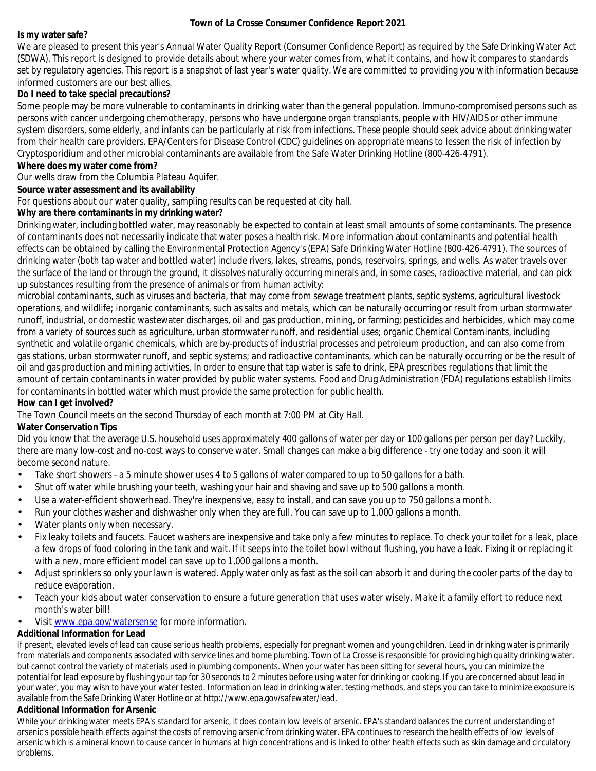### **Town of La Crosse Consumer Confidence Report 2021**

**Is my water safe?**

We are pleased to present this year's Annual Water Quality Report (Consumer Confidence Report) as required by the Safe Drinking Water Act (SDWA). This report is designed to provide details about where your water comes from, what it contains, and how it compares to standards set by regulatory agencies. This report is a snapshot of last year's water quality. We are committed to providing you with information because informed customers are our best allies.

**Do I need to take special precautions?**

Some people may be more vulnerable to contaminants in drinking water than the general population. Immuno-compromised persons such as persons with cancer undergoing chemotherapy, persons who have undergone organ transplants, people with HIV/AIDS or other immune system disorders, some elderly, and infants can be particularly at risk from infections. These people should seek advice about drinking water from their health care providers. EPA/Centers for Disease Control (CDC) guidelines on appropriate means to lessen the risk of infection by Cryptosporidium and other microbial contaminants are available from the Safe Water Drinking Hotline (800-426-4791).

**Where does my water come from?**

Our wells draw from the Columbia Plateau Aquifer.

**Source water assessment and its availability**

For questions about our water quality, sampling results can be requested at city hall.

**Why are there contaminants in my drinking water?**

Drinking water, including bottled water, may reasonably be expected to contain at least small amounts of some contaminants. The presence of contaminants does not necessarily indicate that water poses a health risk. More information about contaminants and potential health effects can be obtained by calling the Environmental Protection Agency's(EPA) Safe Drinking Water Hotline (800-426-4791). The sources of drinking water (both tap water and bottled water) include rivers, lakes, streams, ponds, reservoirs, springs, and wells. As water travels over the surface of the land or through the ground, it dissolves naturally occurring minerals and, in some cases, radioactive material, and can pick up substances resulting from the presence of animals or from human activity:

**How can I get involved?** microbial contaminants, such as viruses and bacteria, that may come from sewage treatment plants, septic systems, agricultural livestock operations, and wildlife; inorganic contaminants, such assalts and metals, which can be naturally occurring or result from urban stormwater runoff, industrial, or domestic wastewater discharges, oil and gas production, mining, or farming; pesticides and herbicides, which may come from a variety of sources such as agriculture, urban stormwater runoff, and residential uses; organic Chemical Contaminants, including synthetic and volatile organic chemicals, which are by-products of industrial processes and petroleum production, and can also come from gas stations, urban stormwater runoff, and septic systems; and radioactive contaminants, which can be naturally occurring or be the result of oil and gas production and mining activities. In order to ensure that tap water is safe to drink, EPA prescribes regulations that limit the amount of certain contaminants in water provided by public water systems. Food and Drug Administration (FDA) regulations establish limits for contaminants in bottled water which must provide the same protection for public health.

The Town Council meets on the second Thursday of each month at 7:00 PM at City Hall.

**Water Conservation Tips**

Did you know that the average U.S. household uses approximately 400 gallons of water per day or 100 gallons per person per day? Luckily, there are many low-cost and no-cost ways to conserve water. Small changes can make a big difference - try one today and soon it will become second nature.

- Take short showers a 5 minute shower uses 4 to 5 gallons of water compared to up to 50 gallons for a bath. •
- Shut off water while brushing your teeth, washing your hair and shaving and save up to 500 gallons a month. •
- Use a water-efficient showerhead. They're inexpensive, easy to install, and can save you up to 750 gallons a month. •
- Run your clothes washer and dishwasher only when they are full. You can save up to 1,000 gallons a month. •
- Water plants only when necessary. •
- Fix leaky toilets and faucets. Faucet washers are inexpensive and take only a few minutes to replace. To check your toilet for a leak, place a few drops of food coloring in the tank and wait. If it seeps into the toilet bowl without flushing, you have a leak. Fixing it or replacing it with a new, more efficient model can save up to 1,000 gallons a month. •
- Adjust sprinklers so only your lawn is watered. Apply water only as fast as the soil can absorb it and during the cooler parts of the day to reduce evaporation. •
- Teach your kids about water conservation to ensure a future generation that uses water wisely. Make it a family effort to reduce next month's water bill! •
- Visit www.epa.gov/watersense for more information. •

# **Additional Information for Lead**

If present, elevated levels of lead can cause serious health problems, especially for pregnant women and young children. Lead in drinking water is primarily from materials and components associated with service lines and home plumbing. Town of La Crosse is responsible for providing high quality drinking water, but cannot control the variety of materials used in plumbing components. When your water has been sitting for several hours, you can minimize the potential for lead exposure by flushing your tap for 30 seconds to 2 minutes before using water for drinking or cooking. If you are concerned about lead in your water, you may wish to have your water tested. Information on lead in drinking water, testing methods, and steps you can take to minimize exposure is available from the Safe Drinking Water Hotline or at http://www.epa.gov/safewater/lead.

# **Additional Information for Arsenic**

While your drinking water meets EPA's standard for arsenic, it does contain low levels of arsenic. EPA'sstandard balances the current understanding of arsenic's possible health effects against the costs of removing arsenic from drinking water. EPA continues to research the health effects of low levels of arsenic which is a mineral known to cause cancer in humans at high concentrations and is linked to other health effects such as skin damage and circulatory problems.